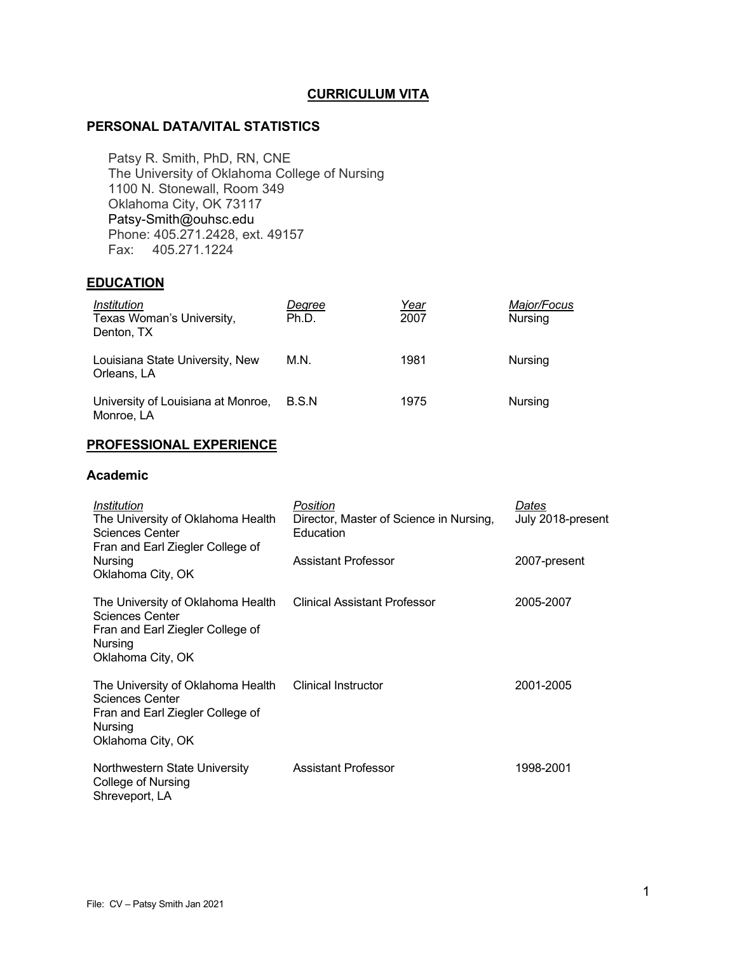## **CURRICULUM VITA**

### **PERSONAL DATA/VITAL STATISTICS**

Patsy R. Smith, PhD, RN, CNE The University of Oklahoma College of Nursing 1100 N. Stonewall, Room 349 Oklahoma City, OK 73117 Patsy-Smith@ouhsc.edu Phone: 405.271.2428, ext. 49157 Fax: 405.271.1224

## **EDUCATION**

| Institution<br>Texas Woman's University,<br>Denton, TX | Degree<br>Ph.D. | Year<br>2007 | Major/Focus<br>Nursing |
|--------------------------------------------------------|-----------------|--------------|------------------------|
| Louisiana State University, New<br>Orleans, LA         | M.N.            | 1981         | <b>Nursing</b>         |
| University of Louisiana at Monroe,<br>Monroe, LA       | B.S.N           | 1975         | <b>Nursing</b>         |

## **PROFESSIONAL EXPERIENCE**

### **Academic**

| Institution<br>The University of Oklahoma Health<br>Sciences Center<br>Fran and Earl Ziegler College of<br>Nursing<br>Oklahoma City, OK      | Position<br>Director, Master of Science in Nursing,<br>Education | Dates<br>July 2018-present |
|----------------------------------------------------------------------------------------------------------------------------------------------|------------------------------------------------------------------|----------------------------|
|                                                                                                                                              | Assistant Professor                                              | 2007-present               |
| The University of Oklahoma Health<br><b>Sciences Center</b><br>Fran and Earl Ziegler College of<br>Nursing<br>Oklahoma City, OK              | <b>Clinical Assistant Professor</b>                              | 2005-2007                  |
| The University of Oklahoma Health Clinical Instructor<br>Sciences Center<br>Fran and Earl Ziegler College of<br>Nursing<br>Oklahoma City, OK |                                                                  | 2001-2005                  |
| Northwestern State University<br>College of Nursing<br>Shreveport, LA                                                                        | <b>Assistant Professor</b>                                       | 1998-2001                  |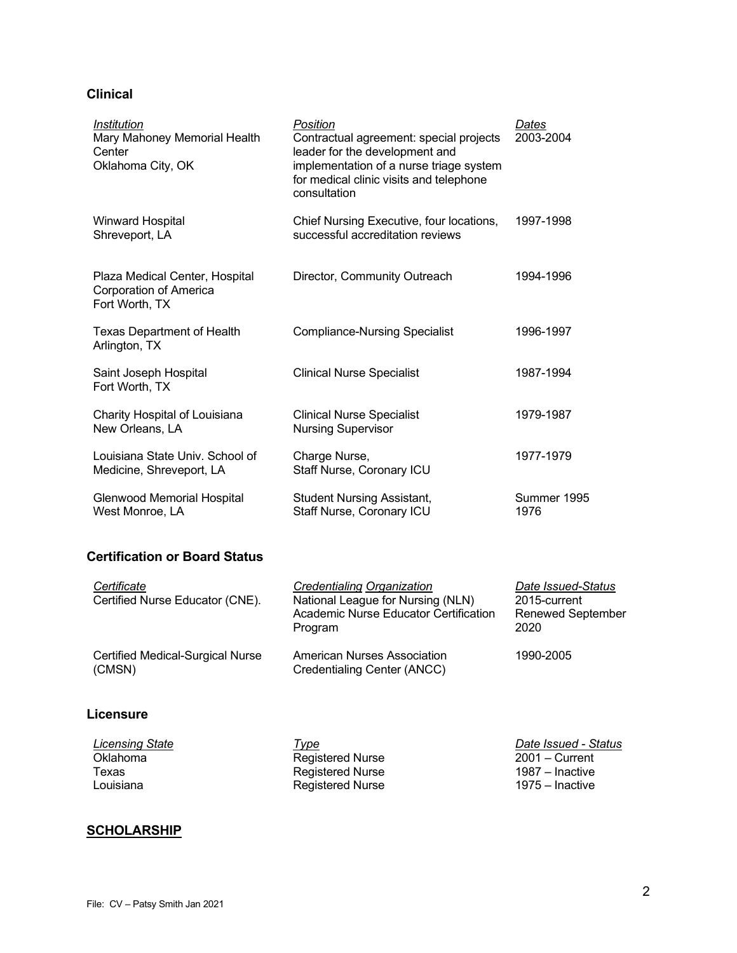## **Clinical**

| <i><b>Institution</b></i><br>Mary Mahoney Memorial Health<br>Center<br>Oklahoma City, OK | Position<br>Contractual agreement: special projects<br>leader for the development and<br>implementation of a nurse triage system<br>for medical clinic visits and telephone<br>consultation | Dates<br>2003-2004  |
|------------------------------------------------------------------------------------------|---------------------------------------------------------------------------------------------------------------------------------------------------------------------------------------------|---------------------|
| <b>Winward Hospital</b><br>Shreveport, LA                                                | Chief Nursing Executive, four locations,<br>successful accreditation reviews                                                                                                                | 1997-1998           |
| Plaza Medical Center, Hospital<br>Corporation of America<br>Fort Worth, TX               | Director, Community Outreach                                                                                                                                                                | 1994-1996           |
| Texas Department of Health<br>Arlington, TX                                              | <b>Compliance-Nursing Specialist</b>                                                                                                                                                        | 1996-1997           |
| Saint Joseph Hospital<br>Fort Worth, TX                                                  | <b>Clinical Nurse Specialist</b>                                                                                                                                                            | 1987-1994           |
| Charity Hospital of Louisiana<br>New Orleans, LA                                         | <b>Clinical Nurse Specialist</b><br><b>Nursing Supervisor</b>                                                                                                                               | 1979-1987           |
| Louisiana State Univ. School of<br>Medicine, Shreveport, LA                              | Charge Nurse,<br>Staff Nurse, Coronary ICU                                                                                                                                                  | 1977-1979           |
| Glenwood Memorial Hospital<br>West Monroe, LA                                            | <b>Student Nursing Assistant,</b><br>Staff Nurse, Coronary ICU                                                                                                                              | Summer 1995<br>1976 |

# **Certification or Board Status**

| Certificate                                | Credentialing Organization                                 | Date Issued-Status       |
|--------------------------------------------|------------------------------------------------------------|--------------------------|
| Certified Nurse Educator (CNE).            | National League for Nursing (NLN)                          | 2015-current             |
|                                            | Academic Nurse Educator Certification                      | <b>Renewed September</b> |
|                                            | Program                                                    | 2020                     |
| Certified Medical-Surgical Nurse<br>(CMSN) | American Nurses Association<br>Credentialing Center (ANCC) | 1990-2005                |
|                                            |                                                            |                          |

## **Licensure**

| Type             | Date Issued - Status |
|------------------|----------------------|
| Registered Nurse | 2001 – Current       |
| Registered Nurse | 1987 – Inactive      |
| Registered Nurse | 1975 – Inactive      |
|                  |                      |

# **SCHOLARSHIP**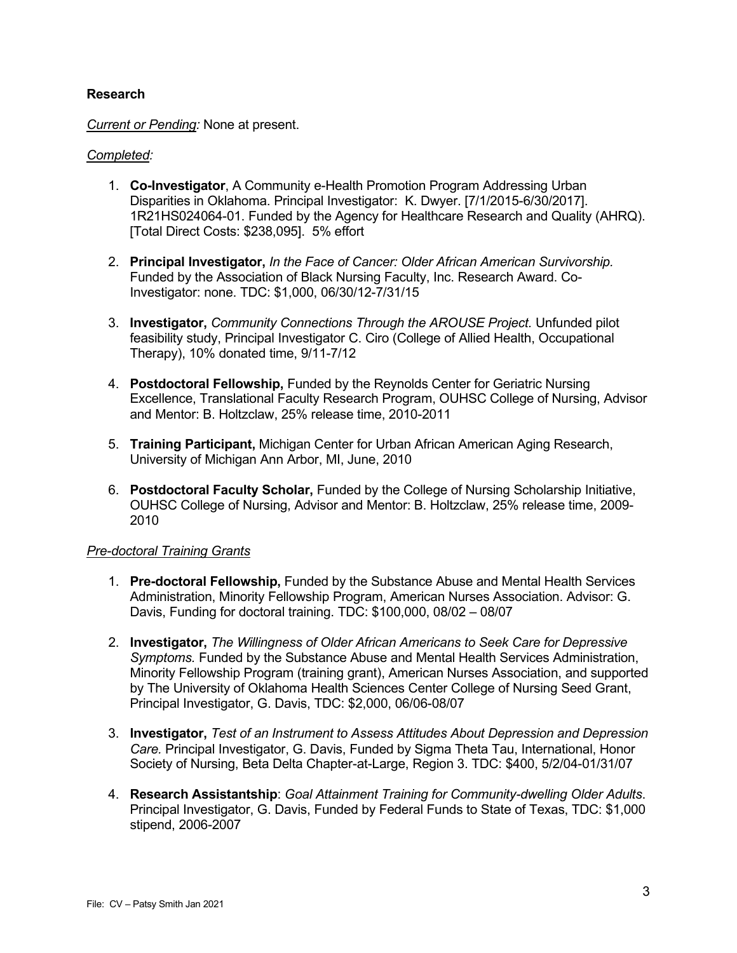## **Research**

*Current or Pending:* None at present.

### *Completed:*

- 1. **Co-Investigator**, A Community e-Health Promotion Program Addressing Urban Disparities in Oklahoma. Principal Investigator: K. Dwyer. [7/1/2015-6/30/2017]. 1R21HS024064-01. Funded by the Agency for Healthcare Research and Quality (AHRQ). [Total Direct Costs: \$238,095]. 5% effort
- 2. **Principal Investigator,** *In the Face of Cancer: Older African American Survivorship.*  Funded by the Association of Black Nursing Faculty, Inc. Research Award. Co-Investigator: none. TDC: \$1,000, 06/30/12-7/31/15
- 3. **Investigator,** *Community Connections Through the AROUSE Project.* Unfunded pilot feasibility study, Principal Investigator C. Ciro (College of Allied Health, Occupational Therapy), 10% donated time, 9/11-7/12
- 4. **Postdoctoral Fellowship,** Funded by the Reynolds Center for Geriatric Nursing Excellence, Translational Faculty Research Program, OUHSC College of Nursing, Advisor and Mentor: B. Holtzclaw, 25% release time, 2010-2011
- 5. **Training Participant,** Michigan Center for Urban African American Aging Research, University of Michigan Ann Arbor, MI, June, 2010
- 6. **Postdoctoral Faculty Scholar,** Funded by the College of Nursing Scholarship Initiative, OUHSC College of Nursing, Advisor and Mentor: B. Holtzclaw, 25% release time, 2009- 2010

#### *Pre-doctoral Training Grants*

- 1. **Pre-doctoral Fellowship,** Funded by the Substance Abuse and Mental Health Services Administration, Minority Fellowship Program, American Nurses Association. Advisor: G. Davis, Funding for doctoral training. TDC: \$100,000, 08/02 – 08/07
- 2. **Investigator,** *The Willingness of Older African Americans to Seek Care for Depressive Symptoms.* Funded by the Substance Abuse and Mental Health Services Administration, Minority Fellowship Program (training grant), American Nurses Association, and supported by The University of Oklahoma Health Sciences Center College of Nursing Seed Grant, Principal Investigator, G. Davis, TDC: \$2,000, 06/06-08/07
- 3. **Investigator,** *Test of an Instrument to Assess Attitudes About Depression and Depression Care.* Principal Investigator, G. Davis, Funded by Sigma Theta Tau, International, Honor Society of Nursing, Beta Delta Chapter-at-Large, Region 3. TDC: \$400, 5/2/04-01/31/07
- 4. **Research Assistantship**: *Goal Attainment Training for Community-dwelling Older Adults*. Principal Investigator, G. Davis, Funded by Federal Funds to State of Texas, TDC: \$1,000 stipend, 2006-2007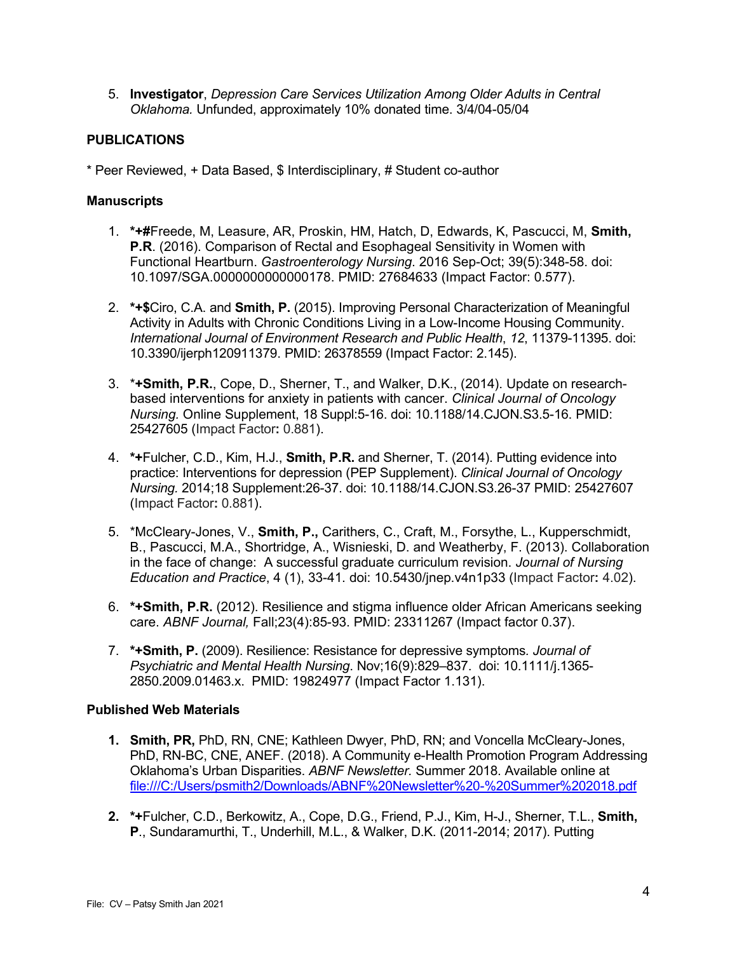5. **Investigator**, *Depression Care Services Utilization Among Older Adults in Central Oklahoma.* Unfunded, approximately 10% donated time. 3/4/04-05/04

## **PUBLICATIONS**

\* Peer Reviewed, + Data Based, \$ Interdisciplinary, # Student co-author

## **Manuscripts**

- 1. **\*+#**Freede, M, Leasure, AR, Proskin, HM, Hatch, D, Edwards, K, Pascucci, M, **Smith, P.R**. (2016). Comparison of Rectal and Esophageal Sensitivity in Women with Functional Heartburn. *Gastroenterology Nursing*. 2016 Sep-Oct; 39(5):348-58. doi: 10.1097/SGA.0000000000000178. PMID: 27684633 (Impact Factor: 0.577).
- 2. **\*+\$**Ciro, C.A. and **Smith, P.** (2015). Improving Personal Characterization of Meaningful Activity in Adults with Chronic Conditions Living in a Low-Income Housing Community. *International Journal of Environment Research and Public Health*, *12*, 11379-11395. doi: 10.3390/ijerph120911379. PMID: 26378559 (Impact Factor: 2.145).
- 3. \***+Smith, P.R.**, Cope, D., Sherner, T., and Walker, D.K., (2014). Update on researchbased interventions for anxiety in patients with cancer. *Clinical Journal of Oncology Nursing.* Online Supplement, 18 Suppl:5-16. doi: 10.1188/14.CJON.S3.5-16. PMID: 25427605 (Impact Factor**:** 0.881).
- 4. **\*+**Fulcher, C.D., Kim, H.J., **Smith, P.R.** and Sherner, T. (2014). Putting evidence into practice: Interventions for depression (PEP Supplement). *Clinical Journal of Oncology Nursing.* 2014;18 Supplement:26-37. doi: 10.1188/14.CJON.S3.26-37 PMID: 25427607 (Impact Factor**:** 0.881).
- 5. \*McCleary-Jones, V., **Smith, P.,** Carithers, C., Craft, M., Forsythe, L., Kupperschmidt, B., Pascucci, M.A., Shortridge, A., Wisnieski, D. and Weatherby, F. (2013). Collaboration in the face of change: A successful graduate curriculum revision. *Journal of Nursing Education and Practice*, 4 (1), 33-41. doi: 10.5430/jnep.v4n1p33 (Impact Factor**:** 4.02).
- 6. **\*+Smith, P.R.** (2012). Resilience and stigma influence older African Americans seeking care. *ABNF Journal,* Fall;23(4):85-93. PMID: 23311267 (Impact factor 0.37).
- 7. **\*+Smith, P.** (2009). Resilience: Resistance for depressive symptoms*. Journal of Psychiatric and Mental Health Nursing*. Nov;16(9):829–837. doi: 10.1111/j.1365- 2850.2009.01463.x. PMID: 19824977 (Impact Factor 1.131).

## **Published Web Materials**

- **1. Smith, PR,** PhD, RN, CNE; Kathleen Dwyer, PhD, RN; and Voncella McCleary-Jones, PhD, RN-BC, CNE, ANEF. (2018). A Community e-Health Promotion Program Addressing Oklahoma's Urban Disparities. *ABNF Newsletter.* Summer 2018. Available online at file:///C:/Users/psmith2/Downloads/ABNF%20Newsletter%20-%20Summer%202018.pdf
- **2. \*+**Fulcher, C.D., Berkowitz, A., Cope, D.G., Friend, P.J., Kim, H-J., Sherner, T.L., **Smith, P**., Sundaramurthi, T., Underhill, M.L., & Walker, D.K. (2011-2014; 2017). Putting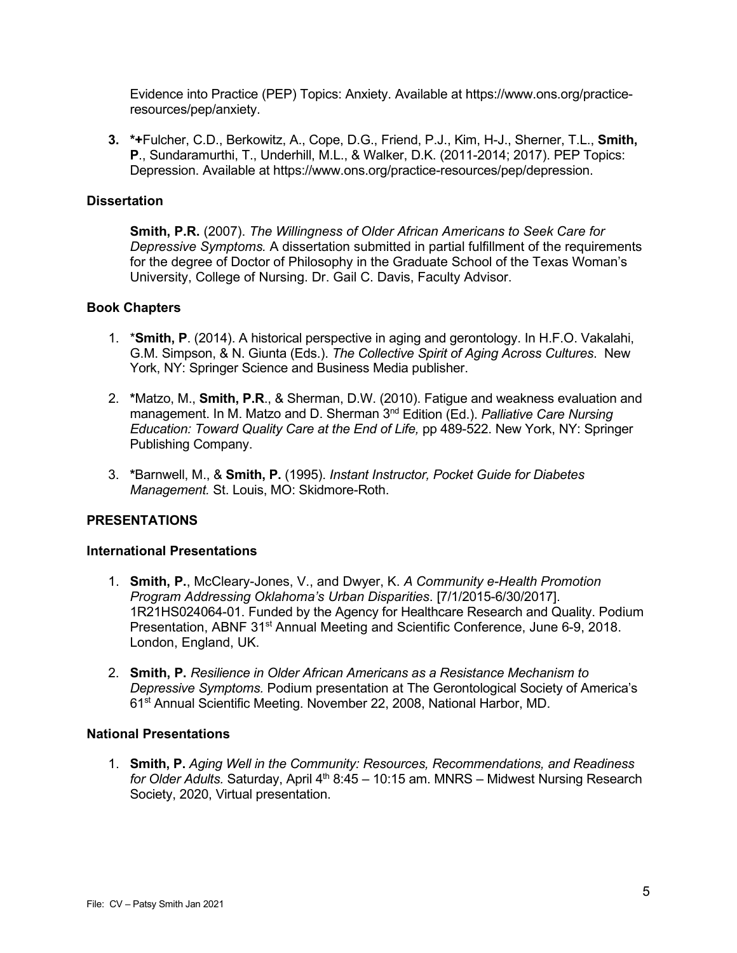Evidence into Practice (PEP) Topics: Anxiety. Available at https://www.ons.org/practiceresources/pep/anxiety.

**3. \*+**Fulcher, C.D., Berkowitz, A., Cope, D.G., Friend, P.J., Kim, H-J., Sherner, T.L., **Smith, P**., Sundaramurthi, T., Underhill, M.L., & Walker, D.K. (2011-2014; 2017). PEP Topics: Depression. Available at https://www.ons.org/practice-resources/pep/depression.

### **Dissertation**

**Smith, P.R.** (2007). *The Willingness of Older African Americans to Seek Care for Depressive Symptoms.* A dissertation submitted in partial fulfillment of the requirements for the degree of Doctor of Philosophy in the Graduate School of the Texas Woman's University, College of Nursing. Dr. Gail C. Davis, Faculty Advisor.

## **Book Chapters**

- 1. \***Smith, P**. (2014). A historical perspective in aging and gerontology. In H.F.O. Vakalahi, G.M. Simpson, & N. Giunta (Eds.). *The Collective Spirit of Aging Across Cultures*. New York, NY: Springer Science and Business Media publisher.
- 2. **\***Matzo, M., **Smith, P.R**., & Sherman, D.W. (2010). Fatigue and weakness evaluation and management. In M. Matzo and D. Sherman 3nd Edition (Ed.). *Palliative Care Nursing Education: Toward Quality Care at the End of Life,* pp 489-522. New York, NY: Springer Publishing Company.
- 3. **\***Barnwell, M., & **Smith, P.** (1995). *Instant Instructor, Pocket Guide for Diabetes Management.* St. Louis, MO: Skidmore-Roth.

## **PRESENTATIONS**

#### **International Presentations**

- 1. **Smith, P.**, McCleary-Jones, V., and Dwyer, K. *A Community e-Health Promotion Program Addressing Oklahoma's Urban Disparities*. [7/1/2015-6/30/2017]. 1R21HS024064-01. Funded by the Agency for Healthcare Research and Quality. Podium Presentation, ABNF 31<sup>st</sup> Annual Meeting and Scientific Conference, June 6-9, 2018. London, England, UK.
- 2. **Smith, P.** *Resilience in Older African Americans as a Resistance Mechanism to Depressive Symptoms.* Podium presentation at The Gerontological Society of America's 61<sup>st</sup> Annual Scientific Meeting. November 22, 2008, National Harbor, MD.

#### **National Presentations**

1. **Smith, P.** *Aging Well in the Community: Resources, Recommendations, and Readiness for Older Adults.* Saturday, April 4<sup>th</sup> 8:45 – 10:15 am. MNRS – Midwest Nursing Research Society, 2020, Virtual presentation.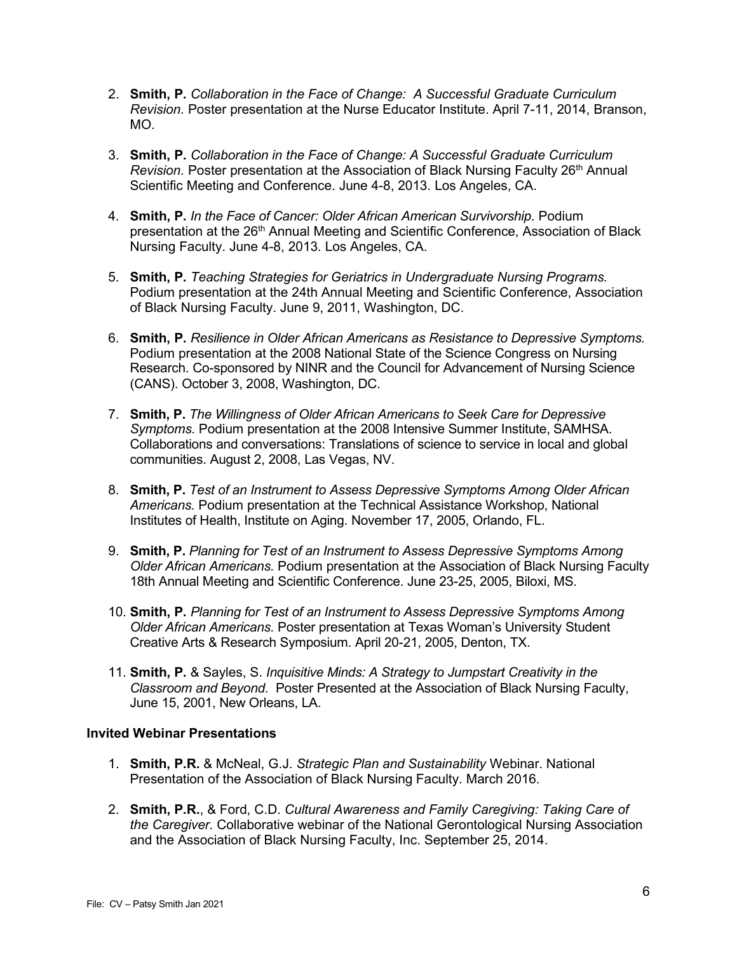- 2. **Smith, P.** *Collaboration in the Face of Change: A Successful Graduate Curriculum Revision.* Poster presentation at the Nurse Educator Institute. April 7-11, 2014, Branson, MO.
- 3. **Smith, P.** *Collaboration in the Face of Change: A Successful Graduate Curriculum Revision.* Poster presentation at the Association of Black Nursing Faculty 26<sup>th</sup> Annual Scientific Meeting and Conference. June 4-8, 2013. Los Angeles, CA.
- 4. **Smith, P.** *In the Face of Cancer: Older African American Survivorship*. Podium presentation at the 26<sup>th</sup> Annual Meeting and Scientific Conference, Association of Black Nursing Faculty. June 4-8, 2013. Los Angeles, CA.
- 5. **Smith, P.** *Teaching Strategies for Geriatrics in Undergraduate Nursing Programs.*  Podium presentation at the 24th Annual Meeting and Scientific Conference, Association of Black Nursing Faculty. June 9, 2011, Washington, DC.
- 6. **Smith, P.** *Resilience in Older African Americans as Resistance to Depressive Symptoms.*  Podium presentation at the 2008 National State of the Science Congress on Nursing Research. Co-sponsored by NINR and the Council for Advancement of Nursing Science (CANS). October 3, 2008, Washington, DC.
- 7. **Smith, P.** *The Willingness of Older African Americans to Seek Care for Depressive Symptoms.* Podium presentation at the 2008 Intensive Summer Institute, SAMHSA. Collaborations and conversations: Translations of science to service in local and global communities. August 2, 2008, Las Vegas, NV.
- 8. **Smith, P.** *Test of an Instrument to Assess Depressive Symptoms Among Older African Americans.* Podium presentation at the Technical Assistance Workshop, National Institutes of Health, Institute on Aging. November 17, 2005, Orlando, FL.
- 9. **Smith, P.** *Planning for Test of an Instrument to Assess Depressive Symptoms Among Older African Americans.* Podium presentation at the Association of Black Nursing Faculty 18th Annual Meeting and Scientific Conference. June 23-25, 2005, Biloxi, MS.
- 10. **Smith, P.** *Planning for Test of an Instrument to Assess Depressive Symptoms Among Older African Americans.* Poster presentation at Texas Woman's University Student Creative Arts & Research Symposium. April 20-21, 2005, Denton, TX.
- 11. **Smith, P.** & Sayles, S. *Inquisitive Minds: A Strategy to Jumpstart Creativity in the Classroom and Beyond.* Poster Presented at the Association of Black Nursing Faculty, June 15, 2001, New Orleans, LA.

#### **Invited Webinar Presentations**

- 1. **Smith, P.R.** & McNeal, G.J. *Strategic Plan and Sustainability* Webinar. National Presentation of the Association of Black Nursing Faculty. March 2016.
- 2. **Smith, P.R.**, & Ford, C.D. *Cultural Awareness and Family Caregiving: Taking Care of the Caregiver.* Collaborative webinar of the National Gerontological Nursing Association and the Association of Black Nursing Faculty, Inc. September 25, 2014.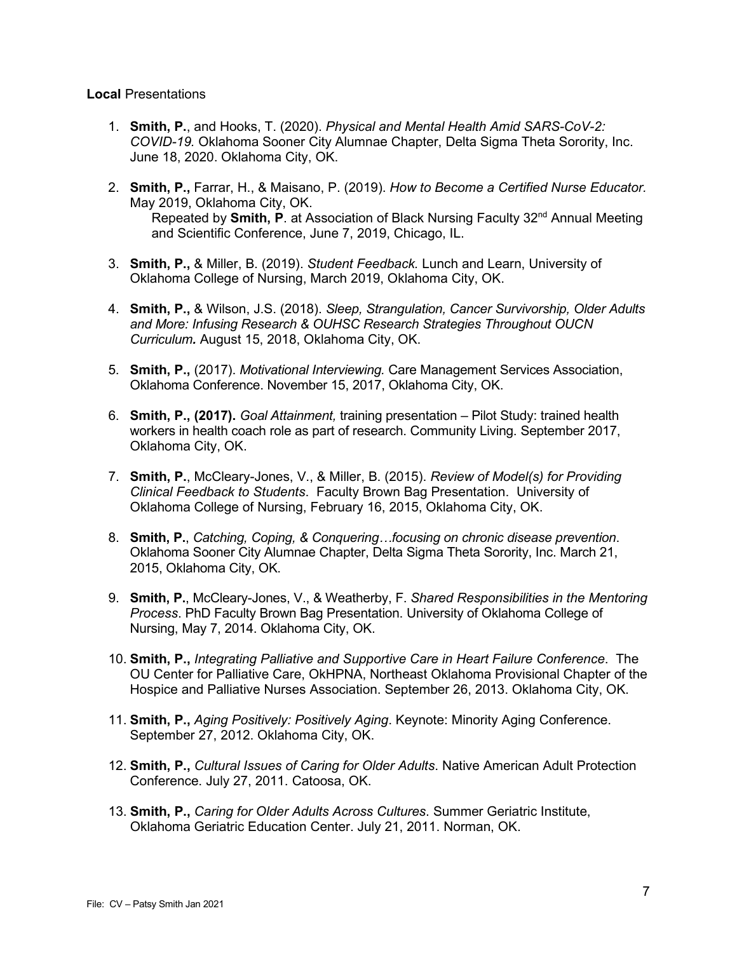#### **Local** Presentations

- 1. **Smith, P.**, and Hooks, T. (2020). *Physical and Mental Health Amid SARS-CoV-2: COVID-19.* Oklahoma Sooner City Alumnae Chapter, Delta Sigma Theta Sorority, Inc. June 18, 2020. Oklahoma City, OK.
- 2. **Smith, P.,** Farrar, H., & Maisano, P. (2019). *How to Become a Certified Nurse Educator.* May 2019, Oklahoma City, OK. Repeated by **Smith, P**. at Association of Black Nursing Faculty 32<sup>nd</sup> Annual Meeting and Scientific Conference, June 7, 2019, Chicago, IL.
- 3. **Smith, P.,** & Miller, B. (2019). *Student Feedback.* Lunch and Learn, University of Oklahoma College of Nursing, March 2019, Oklahoma City, OK.
- 4. **Smith, P.,** & Wilson, J.S. (2018). *Sleep, Strangulation, Cancer Survivorship, Older Adults and More: Infusing Research & OUHSC Research Strategies Throughout OUCN Curriculum.* August 15, 2018, Oklahoma City, OK.
- 5. **Smith, P.,** (2017). *Motivational Interviewing.* Care Management Services Association, Oklahoma Conference. November 15, 2017, Oklahoma City, OK.
- 6. **Smith, P., (2017).** *Goal Attainment,* training presentation Pilot Study: trained health workers in health coach role as part of research. Community Living. September 2017, Oklahoma City, OK.
- 7. **Smith, P.**, McCleary-Jones, V., & Miller, B. (2015). *Review of Model(s) for Providing Clinical Feedback to Students*. Faculty Brown Bag Presentation. University of Oklahoma College of Nursing, February 16, 2015, Oklahoma City, OK.
- 8. **Smith, P.**, *Catching, Coping, & Conquering…focusing on chronic disease prevention*. Oklahoma Sooner City Alumnae Chapter, Delta Sigma Theta Sorority, Inc. March 21, 2015, Oklahoma City, OK.
- 9. **Smith, P.**, McCleary-Jones, V., & Weatherby, F. *Shared Responsibilities in the Mentoring Process*. PhD Faculty Brown Bag Presentation. University of Oklahoma College of Nursing, May 7, 2014. Oklahoma City, OK.
- 10. **Smith, P.,** *Integrating Palliative and Supportive Care in Heart Failure Conference*. The OU Center for Palliative Care, OkHPNA, Northeast Oklahoma Provisional Chapter of the Hospice and Palliative Nurses Association. September 26, 2013. Oklahoma City, OK.
- 11. **Smith, P.,** *Aging Positively: Positively Aging*. Keynote: Minority Aging Conference. September 27, 2012. Oklahoma City, OK.
- 12. **Smith, P.,** *Cultural Issues of Caring for Older Adults*. Native American Adult Protection Conference. July 27, 2011. Catoosa, OK.
- 13. **Smith, P.,** *Caring for Older Adults Across Cultures*. Summer Geriatric Institute, Oklahoma Geriatric Education Center. July 21, 2011. Norman, OK.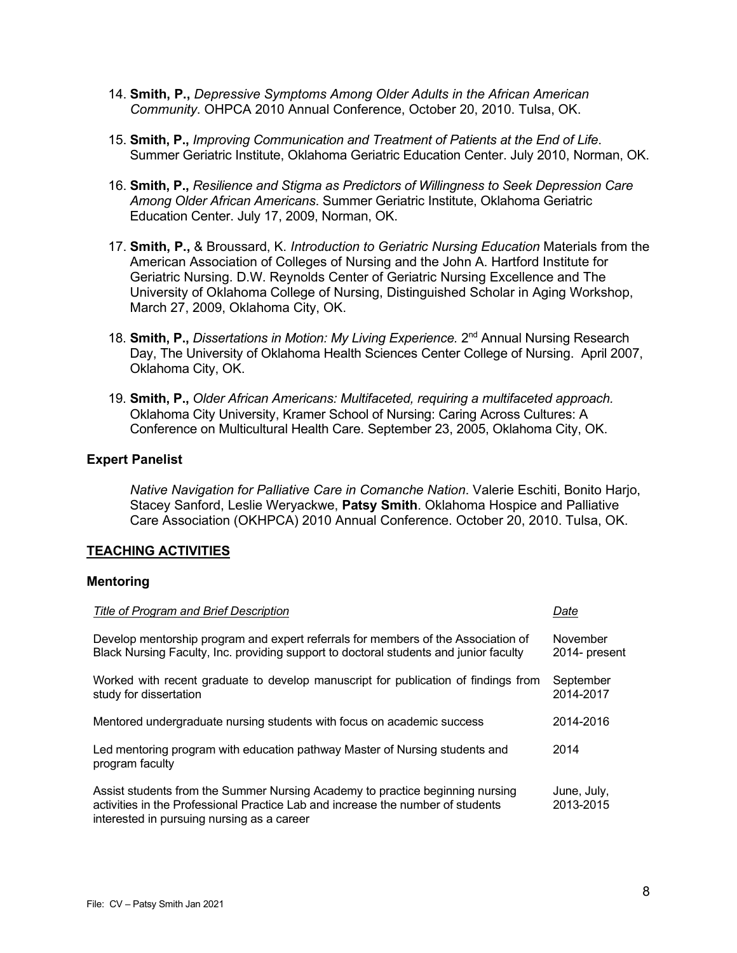- 14. **Smith, P.,** *Depressive Symptoms Among Older Adults in the African American Community*. OHPCA 2010 Annual Conference, October 20, 2010. Tulsa, OK.
- 15. **Smith, P.,** *Improving Communication and Treatment of Patients at the End of Life*. Summer Geriatric Institute, Oklahoma Geriatric Education Center. July 2010, Norman, OK.
- 16. **Smith, P.,** *Resilience and Stigma as Predictors of Willingness to Seek Depression Care Among Older African Americans*. Summer Geriatric Institute, Oklahoma Geriatric Education Center. July 17, 2009, Norman, OK.
- 17. **Smith, P.,** & Broussard, K. *Introduction to Geriatric Nursing Education* Materials from the American Association of Colleges of Nursing and the John A. Hartford Institute for Geriatric Nursing. D.W. Reynolds Center of Geriatric Nursing Excellence and The University of Oklahoma College of Nursing, Distinguished Scholar in Aging Workshop, March 27, 2009, Oklahoma City, OK.
- 18. **Smith, P.,** *Dissertations in Motion: My Living Experience.* 2nd Annual Nursing Research Day, The University of Oklahoma Health Sciences Center College of Nursing. April 2007, Oklahoma City, OK.
- 19. **Smith, P.,** *Older African Americans: Multifaceted, requiring a multifaceted approach.* Oklahoma City University, Kramer School of Nursing: Caring Across Cultures: A Conference on Multicultural Health Care. September 23, 2005, Oklahoma City, OK.

#### **Expert Panelist**

*Native Navigation for Palliative Care in Comanche Nation*. Valerie Eschiti, Bonito Harjo, Stacey Sanford, Leslie Weryackwe, **Patsy Smith**. Oklahoma Hospice and Palliative Care Association (OKHPCA) 2010 Annual Conference. October 20, 2010. Tulsa, OK.

#### **TEACHING ACTIVITIES**

#### **Mentoring**

| Title of Program and Brief Description                                                                                                                                                                         | Date                      |
|----------------------------------------------------------------------------------------------------------------------------------------------------------------------------------------------------------------|---------------------------|
| Develop mentorship program and expert referrals for members of the Association of<br>Black Nursing Faculty, Inc. providing support to doctoral students and junior faculty                                     | November<br>2014- present |
| Worked with recent graduate to develop manuscript for publication of findings from<br>study for dissertation                                                                                                   | September<br>2014-2017    |
| Mentored undergraduate nursing students with focus on academic success                                                                                                                                         | 2014-2016                 |
| Led mentoring program with education pathway Master of Nursing students and<br>program faculty                                                                                                                 | 2014                      |
| Assist students from the Summer Nursing Academy to practice beginning nursing<br>activities in the Professional Practice Lab and increase the number of students<br>interested in pursuing nursing as a career | June, July,<br>2013-2015  |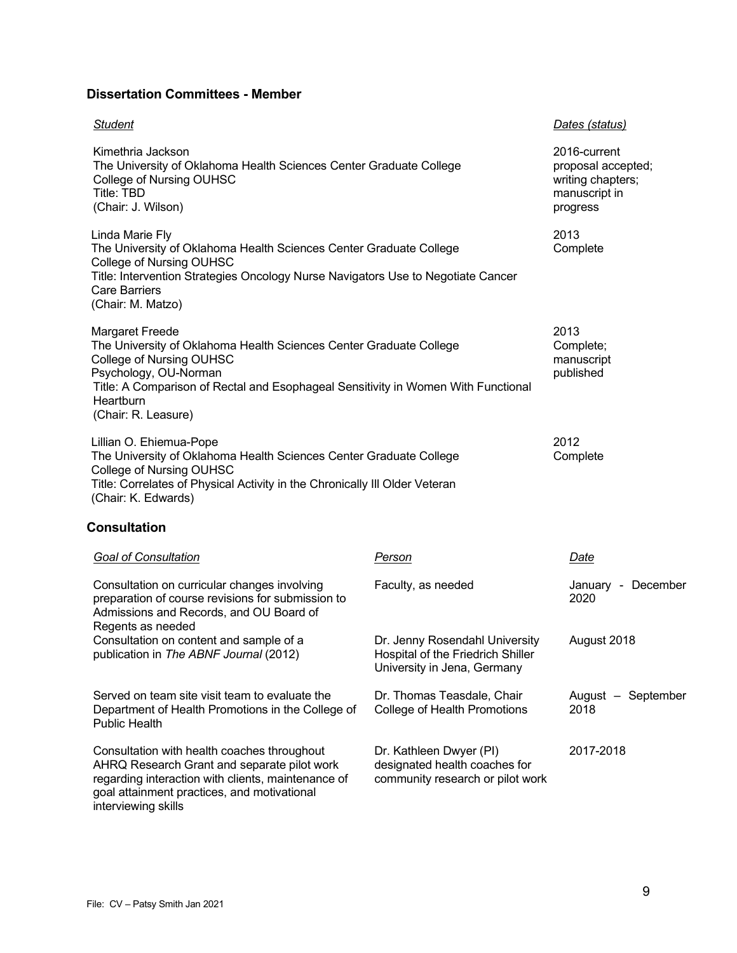## **Dissertation Committees - Member**

| <b>Student</b>                                                                                                                                                                                                                                                             |                                                                                                    | Dates (status)                                                                       |
|----------------------------------------------------------------------------------------------------------------------------------------------------------------------------------------------------------------------------------------------------------------------------|----------------------------------------------------------------------------------------------------|--------------------------------------------------------------------------------------|
| Kimethria Jackson<br>The University of Oklahoma Health Sciences Center Graduate College<br>College of Nursing OUHSC<br>Title: TBD<br>(Chair: J. Wilson)                                                                                                                    |                                                                                                    | 2016-current<br>proposal accepted;<br>writing chapters;<br>manuscript in<br>progress |
| Linda Marie Fly<br>The University of Oklahoma Health Sciences Center Graduate College<br>College of Nursing OUHSC<br>Title: Intervention Strategies Oncology Nurse Navigators Use to Negotiate Cancer<br><b>Care Barriers</b><br>(Chair: M. Matzo)                         |                                                                                                    | 2013<br>Complete                                                                     |
| <b>Margaret Freede</b><br>The University of Oklahoma Health Sciences Center Graduate College<br>College of Nursing OUHSC<br>Psychology, OU-Norman<br>Title: A Comparison of Rectal and Esophageal Sensitivity in Women With Functional<br>Heartburn<br>(Chair: R. Leasure) |                                                                                                    | 2013<br>Complete;<br>manuscript<br>published                                         |
| Lillian O. Ehiemua-Pope<br>The University of Oklahoma Health Sciences Center Graduate College<br>College of Nursing OUHSC<br>Title: Correlates of Physical Activity in the Chronically III Older Veteran<br>(Chair: K. Edwards)                                            |                                                                                                    | 2012<br>Complete                                                                     |
| <b>Consultation</b>                                                                                                                                                                                                                                                        |                                                                                                    |                                                                                      |
| <b>Goal of Consultation</b>                                                                                                                                                                                                                                                | Person                                                                                             | Date                                                                                 |
| Consultation on curricular changes involving<br>preparation of course revisions for submission to<br>Admissions and Records, and OU Board of<br>Regents as needed                                                                                                          | Faculty, as needed                                                                                 | January - December<br>2020                                                           |
| Consultation on content and sample of a<br>publication in The ABNF Journal (2012)                                                                                                                                                                                          | Dr. Jenny Rosendahl University<br>Hospital of the Friedrich Shiller<br>University in Jena, Germany | August 2018                                                                          |
| Served on team site visit team to evaluate the<br>Department of Health Promotions in the College of<br><b>Public Health</b>                                                                                                                                                | Dr. Thomas Teasdale, Chair<br>College of Health Promotions                                         | August - September<br>2018                                                           |
| Consultation with health coaches throughout                                                                                                                                                                                                                                | Dr. Kathleen Dwyer (PI)                                                                            | 2017-2018                                                                            |

designated health coaches for community research or pilot work

regarding interaction with clients, maintenance of goal attainment practices, and motivational interviewing skills

AHRQ Research Grant and separate pilot work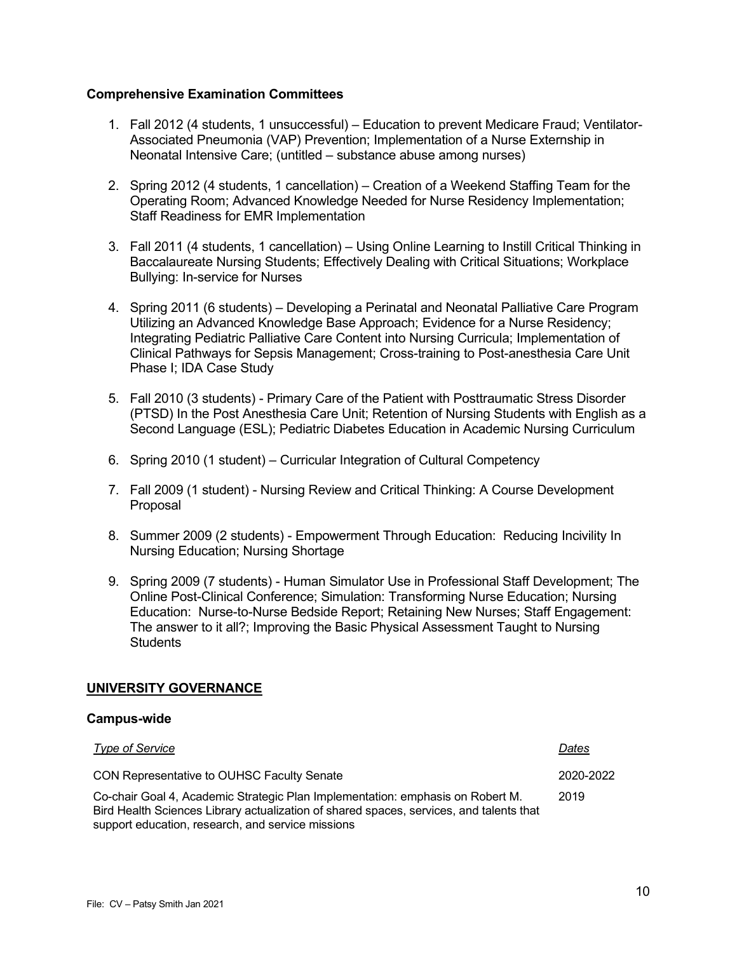### **Comprehensive Examination Committees**

- 1. Fall 2012 (4 students, 1 unsuccessful) Education to prevent Medicare Fraud; Ventilator-Associated Pneumonia (VAP) Prevention; Implementation of a Nurse Externship in Neonatal Intensive Care; (untitled – substance abuse among nurses)
- 2. Spring 2012 (4 students, 1 cancellation) Creation of a Weekend Staffing Team for the Operating Room; Advanced Knowledge Needed for Nurse Residency Implementation; Staff Readiness for EMR Implementation
- 3. Fall 2011 (4 students, 1 cancellation) Using Online Learning to Instill Critical Thinking in Baccalaureate Nursing Students; Effectively Dealing with Critical Situations; Workplace Bullying: In-service for Nurses
- 4. Spring 2011 (6 students) Developing a Perinatal and Neonatal Palliative Care Program Utilizing an Advanced Knowledge Base Approach; Evidence for a Nurse Residency; Integrating Pediatric Palliative Care Content into Nursing Curricula; Implementation of Clinical Pathways for Sepsis Management; Cross-training to Post-anesthesia Care Unit Phase I; IDA Case Study
- 5. Fall 2010 (3 students) Primary Care of the Patient with Posttraumatic Stress Disorder (PTSD) In the Post Anesthesia Care Unit; Retention of Nursing Students with English as a Second Language (ESL); Pediatric Diabetes Education in Academic Nursing Curriculum
- 6. Spring 2010 (1 student) Curricular Integration of Cultural Competency
- 7. Fall 2009 (1 student) Nursing Review and Critical Thinking: A Course Development Proposal
- 8. Summer 2009 (2 students) Empowerment Through Education: Reducing Incivility In Nursing Education; Nursing Shortage
- 9. Spring 2009 (7 students) Human Simulator Use in Professional Staff Development; The Online Post-Clinical Conference; Simulation: Transforming Nurse Education; Nursing Education: Nurse-to-Nurse Bedside Report; Retaining New Nurses; Staff Engagement: The answer to it all?; Improving the Basic Physical Assessment Taught to Nursing **Students**

#### **UNIVERSITY GOVERNANCE**

#### **Campus-wide**

| <b>Type of Service</b>                                                                                                                                                                                                         | Dates     |
|--------------------------------------------------------------------------------------------------------------------------------------------------------------------------------------------------------------------------------|-----------|
| CON Representative to OUHSC Faculty Senate                                                                                                                                                                                     | 2020-2022 |
| Co-chair Goal 4, Academic Strategic Plan Implementation: emphasis on Robert M.<br>Bird Health Sciences Library actualization of shared spaces, services, and talents that<br>support education, research, and service missions | 2019      |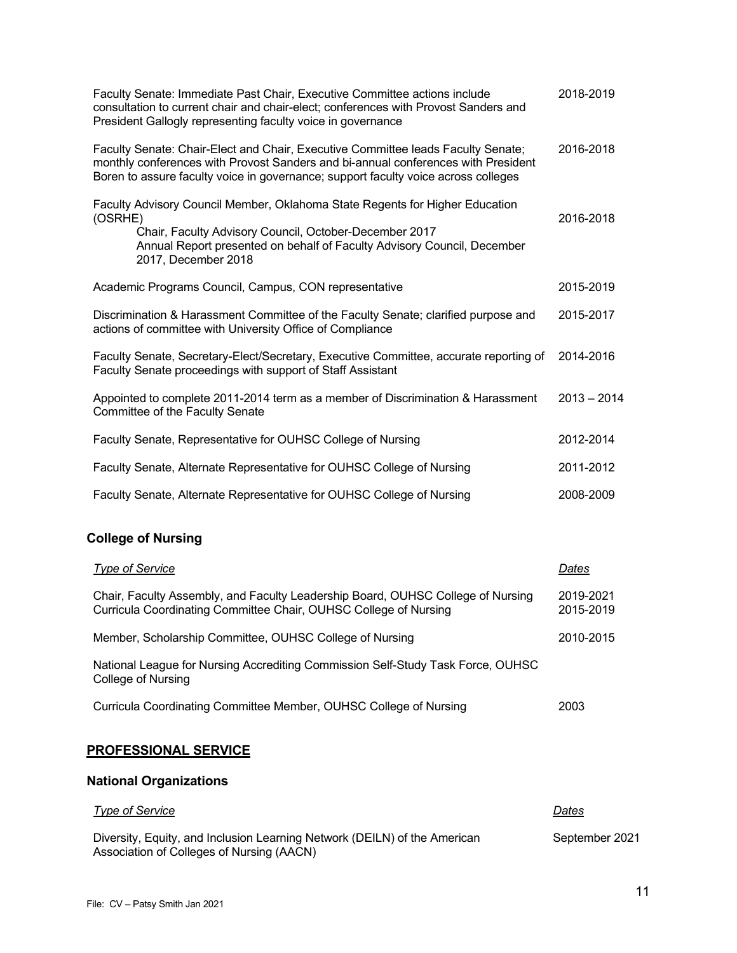| Faculty Senate: Immediate Past Chair, Executive Committee actions include<br>consultation to current chair and chair-elect; conferences with Provost Sanders and<br>President Gallogly representing faculty voice in governance                             | 2018-2019              |
|-------------------------------------------------------------------------------------------------------------------------------------------------------------------------------------------------------------------------------------------------------------|------------------------|
| Faculty Senate: Chair-Elect and Chair, Executive Committee leads Faculty Senate;<br>monthly conferences with Provost Sanders and bi-annual conferences with President<br>Boren to assure faculty voice in governance; support faculty voice across colleges | 2016-2018              |
| Faculty Advisory Council Member, Oklahoma State Regents for Higher Education<br>(OSRHE)<br>Chair, Faculty Advisory Council, October-December 2017<br>Annual Report presented on behalf of Faculty Advisory Council, December<br>2017, December 2018         | 2016-2018              |
| Academic Programs Council, Campus, CON representative                                                                                                                                                                                                       | 2015-2019              |
| Discrimination & Harassment Committee of the Faculty Senate; clarified purpose and<br>actions of committee with University Office of Compliance                                                                                                             | 2015-2017              |
| Faculty Senate, Secretary-Elect/Secretary, Executive Committee, accurate reporting of<br>Faculty Senate proceedings with support of Staff Assistant                                                                                                         | 2014-2016              |
| Appointed to complete 2011-2014 term as a member of Discrimination & Harassment<br>Committee of the Faculty Senate                                                                                                                                          | $2013 - 2014$          |
| Faculty Senate, Representative for OUHSC College of Nursing                                                                                                                                                                                                 | 2012-2014              |
| Faculty Senate, Alternate Representative for OUHSC College of Nursing                                                                                                                                                                                       | 2011-2012              |
| Faculty Senate, Alternate Representative for OUHSC College of Nursing                                                                                                                                                                                       | 2008-2009              |
| <b>College of Nursing</b>                                                                                                                                                                                                                                   |                        |
| <b>Type of Service</b>                                                                                                                                                                                                                                      | Dates                  |
| Chair, Faculty Assembly, and Faculty Leadership Board, OUHSC College of Nursing<br>Curricula Coordinating Committee Chair, OUHSC College of Nursing                                                                                                         | 2019-2021<br>2015-2019 |
| Member, Scholarship Committee, OUHSC College of Nursing                                                                                                                                                                                                     | 2010-2015              |

National League for Nursing Accrediting Commission Self-Study Task Force, OUHSC College of Nursing

| Curricula Coordinating Committee Member, OUHSC College of Nursing | 2003 |
|-------------------------------------------------------------------|------|
|-------------------------------------------------------------------|------|

## **PROFESSIONAL SERVICE**

# **National Organizations**

| Type of Service                                                                                                        | Dates          |
|------------------------------------------------------------------------------------------------------------------------|----------------|
| Diversity, Equity, and Inclusion Learning Network (DEILN) of the American<br>Association of Colleges of Nursing (AACN) | September 2021 |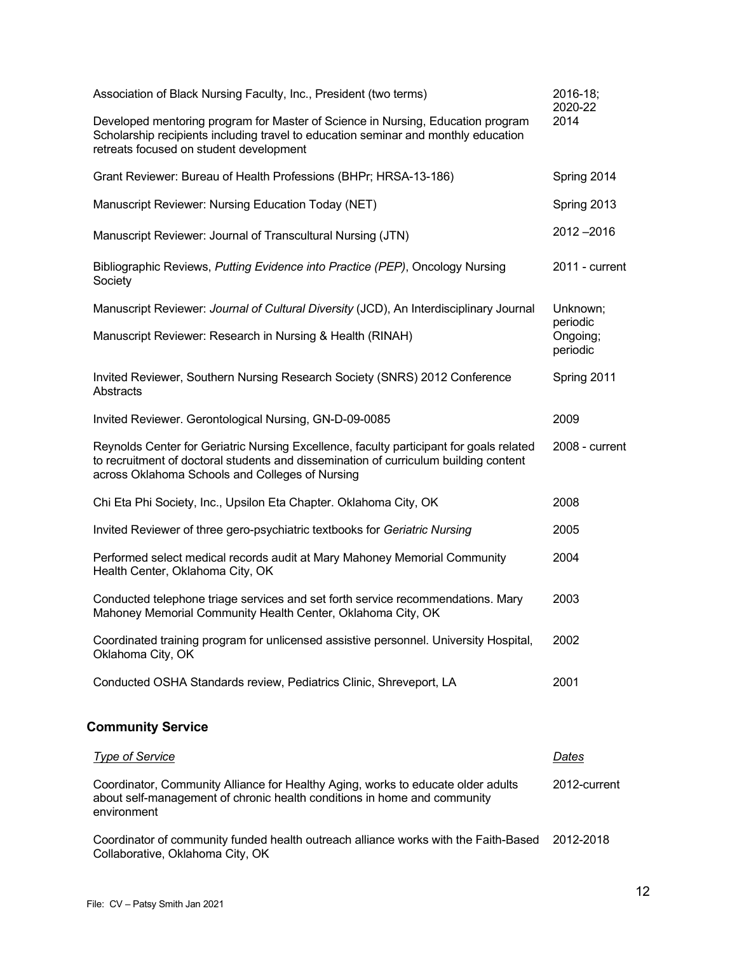| Association of Black Nursing Faculty, Inc., President (two terms)                                                                                                                                                                  | 2016-18;<br>2020-22  |
|------------------------------------------------------------------------------------------------------------------------------------------------------------------------------------------------------------------------------------|----------------------|
| Developed mentoring program for Master of Science in Nursing, Education program<br>Scholarship recipients including travel to education seminar and monthly education<br>retreats focused on student development                   | 2014                 |
| Grant Reviewer: Bureau of Health Professions (BHPr; HRSA-13-186)                                                                                                                                                                   | Spring 2014          |
| Manuscript Reviewer: Nursing Education Today (NET)                                                                                                                                                                                 | Spring 2013          |
| Manuscript Reviewer: Journal of Transcultural Nursing (JTN)                                                                                                                                                                        | $2012 - 2016$        |
| Bibliographic Reviews, Putting Evidence into Practice (PEP), Oncology Nursing<br>Society                                                                                                                                           | 2011 - current       |
| Manuscript Reviewer: Journal of Cultural Diversity (JCD), An Interdisciplinary Journal                                                                                                                                             | Unknown;<br>periodic |
| Manuscript Reviewer: Research in Nursing & Health (RINAH)                                                                                                                                                                          | Ongoing;<br>periodic |
| Invited Reviewer, Southern Nursing Research Society (SNRS) 2012 Conference<br>Abstracts                                                                                                                                            | Spring 2011          |
| Invited Reviewer. Gerontological Nursing, GN-D-09-0085                                                                                                                                                                             | 2009                 |
| Reynolds Center for Geriatric Nursing Excellence, faculty participant for goals related<br>to recruitment of doctoral students and dissemination of curriculum building content<br>across Oklahoma Schools and Colleges of Nursing | 2008 - current       |
| Chi Eta Phi Society, Inc., Upsilon Eta Chapter. Oklahoma City, OK                                                                                                                                                                  | 2008                 |
| Invited Reviewer of three gero-psychiatric textbooks for Geriatric Nursing                                                                                                                                                         | 2005                 |
| Performed select medical records audit at Mary Mahoney Memorial Community<br>Health Center, Oklahoma City, OK                                                                                                                      | 2004                 |
| Conducted telephone triage services and set forth service recommendations. Mary<br>Mahoney Memorial Community Health Center, Oklahoma City, OK                                                                                     | 2003                 |
| Coordinated training program for unlicensed assistive personnel. University Hospital,<br>Oklahoma City, OK                                                                                                                         | 2002                 |
| Conducted OSHA Standards review, Pediatrics Clinic, Shreveport, LA                                                                                                                                                                 | 2001                 |
| <b>Community Service</b>                                                                                                                                                                                                           |                      |
| <b>Type of Service</b>                                                                                                                                                                                                             | <u>Dates</u>         |
| Coordinator, Community Alliance for Healthy Aging, works to educate older adults<br>about self-management of chronic health conditions in home and community<br>environment                                                        | 2012-current         |

Coordinator of community funded health outreach alliance works with the Faith-Based Collaborative, Oklahoma City, OK 2012-2018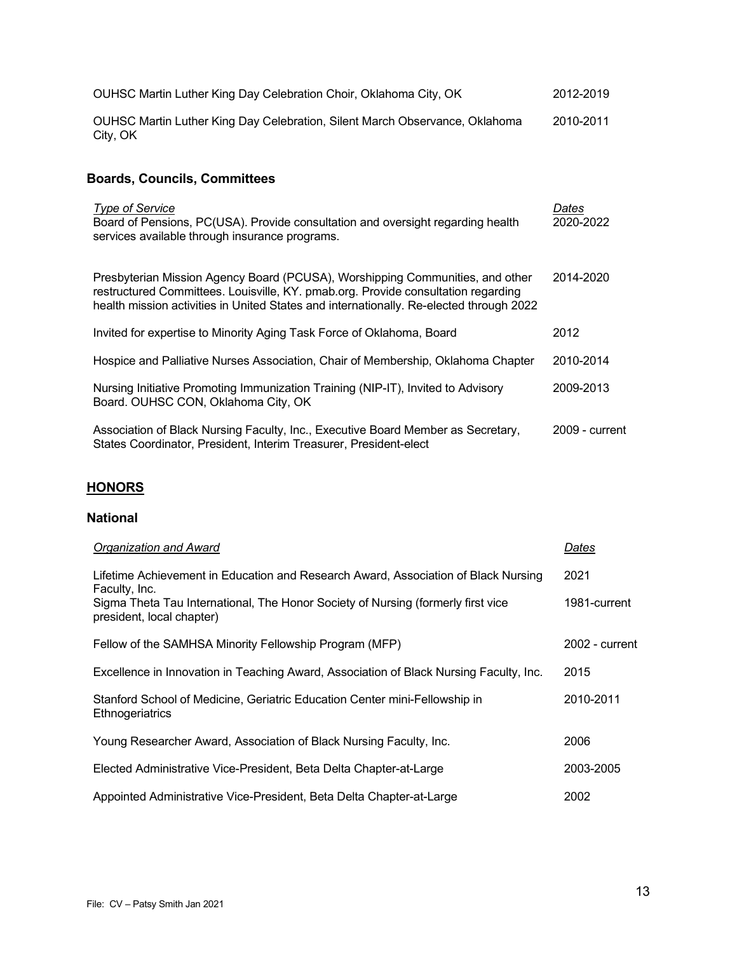| OUHSC Martin Luther King Day Celebration Choir, Oklahoma City, OK                                                                                                                                                                                             | 2012-2019          |
|---------------------------------------------------------------------------------------------------------------------------------------------------------------------------------------------------------------------------------------------------------------|--------------------|
| OUHSC Martin Luther King Day Celebration, Silent March Observance, Oklahoma<br>City, OK                                                                                                                                                                       | 2010-2011          |
| <b>Boards, Councils, Committees</b>                                                                                                                                                                                                                           |                    |
| <b>Type of Service</b><br>Board of Pensions, PC(USA). Provide consultation and oversight regarding health<br>services available through insurance programs.                                                                                                   | Dates<br>2020-2022 |
| Presbyterian Mission Agency Board (PCUSA), Worshipping Communities, and other<br>restructured Committees. Louisville, KY. pmab.org. Provide consultation regarding<br>health mission activities in United States and internationally. Re-elected through 2022 | 2014-2020          |
| Invited for expertise to Minority Aging Task Force of Oklahoma, Board                                                                                                                                                                                         | 2012               |
| Hospice and Palliative Nurses Association, Chair of Membership, Oklahoma Chapter                                                                                                                                                                              | 2010-2014          |
| Nursing Initiative Promoting Immunization Training (NIP-IT), Invited to Advisory<br>Board. OUHSC CON, Oklahoma City, OK                                                                                                                                       | 2009-2013          |
| Association of Black Nursing Faculty, Inc., Executive Board Member as Secretary,<br>States Coordinator, President, Interim Treasurer, President-elect                                                                                                         | 2009 - current     |

# **HONORS**

## **National**

| Organization and Award                                                                                                                                                                  | Dates                |
|-----------------------------------------------------------------------------------------------------------------------------------------------------------------------------------------|----------------------|
| Lifetime Achievement in Education and Research Award, Association of Black Nursing<br>Faculty, Inc.<br>Sigma Theta Tau International, The Honor Society of Nursing (formerly first vice | 2021<br>1981-current |
| president, local chapter)                                                                                                                                                               |                      |
| Fellow of the SAMHSA Minority Fellowship Program (MFP)                                                                                                                                  | 2002 - current       |
| Excellence in Innovation in Teaching Award, Association of Black Nursing Faculty, Inc.                                                                                                  | 2015                 |
| Stanford School of Medicine, Geriatric Education Center mini-Fellowship in<br>Ethnogeriatrics                                                                                           | 2010-2011            |
| Young Researcher Award, Association of Black Nursing Faculty, Inc.                                                                                                                      | 2006                 |
| Elected Administrative Vice-President, Beta Delta Chapter-at-Large                                                                                                                      | 2003-2005            |
| Appointed Administrative Vice-President, Beta Delta Chapter-at-Large                                                                                                                    | 2002                 |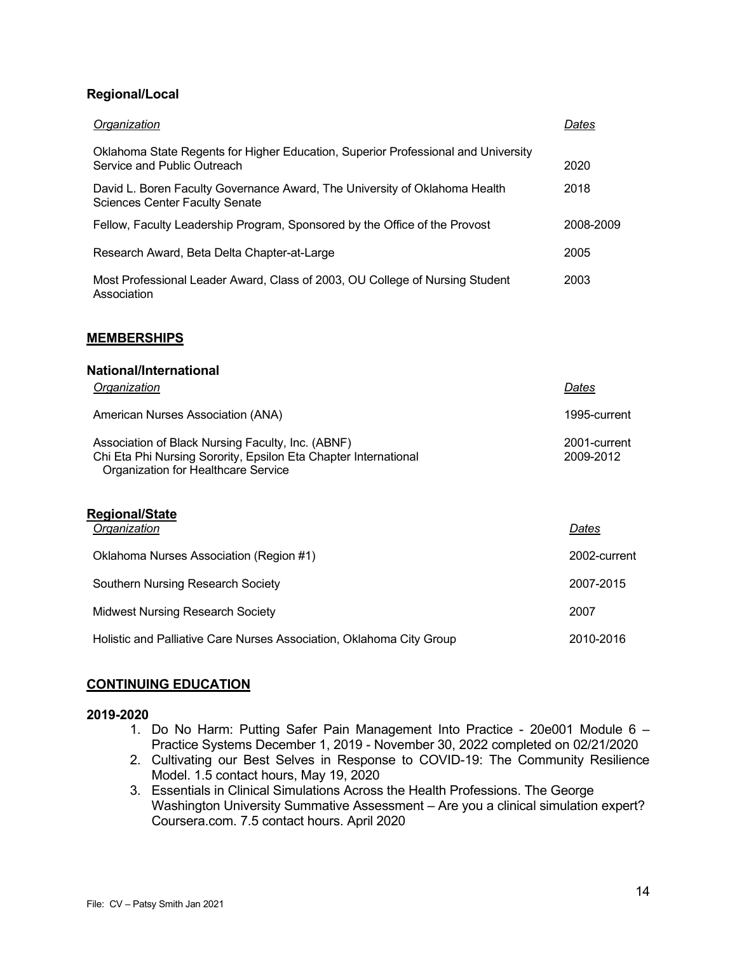## **Regional/Local**

| Organization                                                                                                        | Dates     |
|---------------------------------------------------------------------------------------------------------------------|-----------|
| Oklahoma State Regents for Higher Education, Superior Professional and University<br>Service and Public Outreach    | 2020      |
| David L. Boren Faculty Governance Award, The University of Oklahoma Health<br><b>Sciences Center Faculty Senate</b> | 2018      |
| Fellow, Faculty Leadership Program, Sponsored by the Office of the Provost                                          | 2008-2009 |
| Research Award, Beta Delta Chapter-at-Large                                                                         | 2005      |
| Most Professional Leader Award, Class of 2003, OU College of Nursing Student<br>Association                         | 2003      |

#### **MEMBERSHIPS**

#### **National/International**

| <b>Organization</b>                                                                                                                                         | Dates                     |
|-------------------------------------------------------------------------------------------------------------------------------------------------------------|---------------------------|
| American Nurses Association (ANA)                                                                                                                           | 1995-current              |
| Association of Black Nursing Faculty, Inc. (ABNF)<br>Chi Eta Phi Nursing Sorority, Epsilon Eta Chapter International<br>Organization for Healthcare Service | 2001-current<br>2009-2012 |
| <b>Regional/State</b><br>Organization                                                                                                                       | Dates                     |
| Oklahoma Nurses Association (Region #1)                                                                                                                     | 2002-current              |
| Southern Nursing Research Society                                                                                                                           | 2007-2015                 |
| <b>Midwest Nursing Research Society</b>                                                                                                                     | 2007                      |
| Holistic and Palliative Care Nurses Association, Oklahoma City Group                                                                                        | 2010-2016                 |

#### **CONTINUING EDUCATION**

#### **2019-2020**

- 1. Do No Harm: Putting Safer Pain Management Into Practice 20e001 Module 6 Practice Systems December 1, 2019 - November 30, 2022 completed on 02/21/2020
- 2. Cultivating our Best Selves in Response to COVID-19: The Community Resilience Model. 1.5 contact hours, May 19, 2020
- 3. Essentials in Clinical Simulations Across the Health Professions. The George Washington University Summative Assessment – Are you a clinical simulation expert? Coursera.com. 7.5 contact hours. April 2020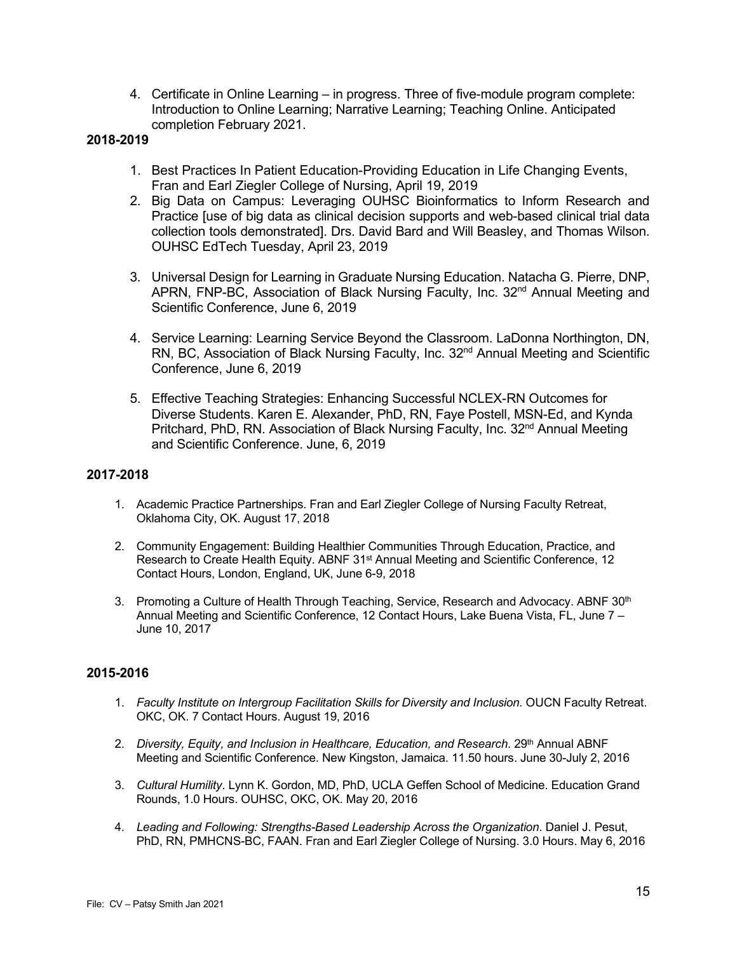4. Certificate in Online Learning – in progress. Three of five-module program complete: Introduction to Online Learning; Narrative Learning; Teaching Online. Anticipated completion February 2021.

## **2018-2019**

- 1. Best Practices In Patient Education-Providing Education in Life Changing Events, Fran and Earl Ziegler College of Nursing, April 19, 2019
- 2. Big Data on Campus: Leveraging OUHSC Bioinformatics to Inform Research and Practice [use of big data as clinical decision supports and web-based clinical trial data collection tools demonstrated]. Drs. David Bard and Will Beasley, and Thomas Wilson. OUHSC EdTech Tuesday, April 23, 2019
- 3. Universal Design for Learning in Graduate Nursing Education. Natacha G. Pierre, DNP, APRN, FNP-BC, Association of Black Nursing Faculty, Inc. 32<sup>nd</sup> Annual Meeting and Scientific Conference, June 6, 2019
- 4. Service Learning: Learning Service Beyond the Classroom. LaDonna Northington, DN, RN, BC, Association of Black Nursing Faculty, Inc. 32<sup>nd</sup> Annual Meeting and Scientific Conference, June 6, 2019
- 5. Effective Teaching Strategies: Enhancing Successful NCLEX-RN Outcomes for Diverse Students. Karen E. Alexander, PhD, RN, Faye Postell, MSN-Ed, and Kynda Pritchard, PhD, RN. Association of Black Nursing Faculty, Inc. 32<sup>nd</sup> Annual Meeting and Scientific Conference. June, 6, 2019

#### **2017-2018**

- 1. Academic Practice Partnerships. Fran and Earl Ziegler College of Nursing Faculty Retreat, Oklahoma City, OK. August 17, 2018
- 2. Community Engagement: Building Healthier Communities Through Education, Practice, and Research to Create Health Equity. ABNF 31<sup>st</sup> Annual Meeting and Scientific Conference, 12 Contact Hours, London, England, UK, June 6-9, 2018
- 3. Promoting a Culture of Health Through Teaching, Service, Research and Advocacy. ABNF 30<sup>th</sup> Annual Meeting and Scientific Conference, 12 Contact Hours, Lake Buena Vista, FL, June 7 – June 10, 2017

#### **2015-2016**

- 1. *Faculty Institute on Intergroup Facilitation Skills for Diversity and Inclusion.* OUCN Faculty Retreat. OKC, OK. 7 Contact Hours. August 19, 2016
- 2. *Diversity, Equity, and Inclusion in Healthcare, Education, and Research.* 29<sup>th</sup> Annual ABNF Meeting and Scientific Conference. New Kingston, Jamaica. 11.50 hours. June 30-July 2, 2016
- 3. *Cultural Humility*. Lynn K. Gordon, MD, PhD, UCLA Geffen School of Medicine. Education Grand Rounds, 1.0 Hours. OUHSC, OKC, OK. May 20, 2016
- 4. *Leading and Following: Strengths-Based Leadership Across the Organization*. Daniel J. Pesut, PhD, RN, PMHCNS-BC, FAAN. Fran and Earl Ziegler College of Nursing. 3.0 Hours. May 6, 2016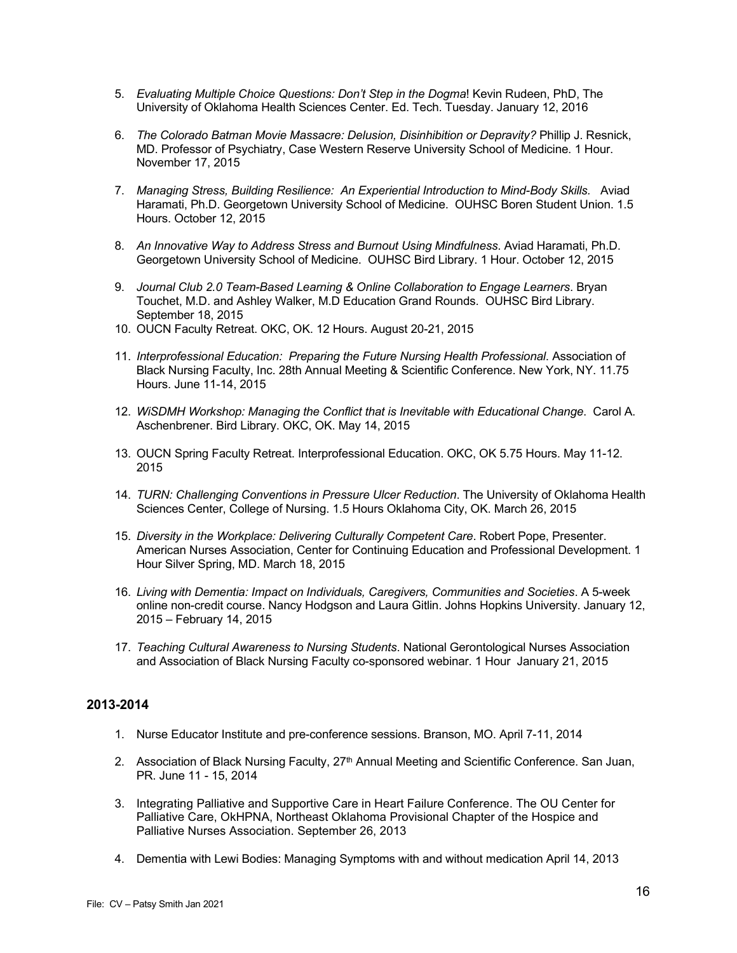- 5. *Evaluating Multiple Choice Questions: Don't Step in the Dogma*! Kevin Rudeen, PhD, The University of Oklahoma Health Sciences Center. Ed. Tech. Tuesday. January 12, 2016
- 6. *The Colorado Batman Movie Massacre: Delusion, Disinhibition or Depravity?* Phillip J. Resnick, MD. Professor of Psychiatry, Case Western Reserve University School of Medicine. 1 Hour. November 17, 2015
- 7. *Managing Stress, Building Resilience: An Experiential Introduction to Mind-Body Skills.* Aviad Haramati, Ph.D. Georgetown University School of Medicine. OUHSC Boren Student Union. 1.5 Hours. October 12, 2015
- 8. *An Innovative Way to Address Stress and Burnout Using Mindfulness*. Aviad Haramati, Ph.D. Georgetown University School of Medicine. OUHSC Bird Library. 1 Hour. October 12, 2015
- 9. *Journal Club 2.0 Team-Based Learning & Online Collaboration to Engage Learners*. Bryan Touchet, M.D. and Ashley Walker, M.D Education Grand Rounds. OUHSC Bird Library. September 18, 2015
- 10. OUCN Faculty Retreat. OKC, OK. 12 Hours. August 20-21, 2015
- 11. *Interprofessional Education: Preparing the Future Nursing Health Professional*. Association of Black Nursing Faculty, Inc. 28th Annual Meeting & Scientific Conference. New York, NY. 11.75 Hours. June 11-14, 2015
- 12. *WiSDMH Workshop: Managing the Conflict that is Inevitable with Educational Change*. Carol A. Aschenbrener. Bird Library. OKC, OK. May 14, 2015
- 13. OUCN Spring Faculty Retreat. Interprofessional Education. OKC, OK 5.75 Hours. May 11-12. 2015
- 14. *TURN: Challenging Conventions in Pressure Ulcer Reduction*. The University of Oklahoma Health Sciences Center, College of Nursing. 1.5 Hours Oklahoma City, OK. March 26, 2015
- 15. *Diversity in the Workplace: Delivering Culturally Competent Care*. Robert Pope, Presenter. American Nurses Association, Center for Continuing Education and Professional Development. 1 Hour Silver Spring, MD. March 18, 2015
- 16. *Living with Dementia: Impact on Individuals, Caregivers, Communities and Societies*. A 5-week online non-credit course. Nancy Hodgson and Laura Gitlin. Johns Hopkins University. January 12, 2015 – February 14, 2015
- 17. *Teaching Cultural Awareness to Nursing Students*. National Gerontological Nurses Association and Association of Black Nursing Faculty co-sponsored webinar. 1 Hour January 21, 2015

### **2013-2014**

- 1. Nurse Educator Institute and pre-conference sessions. Branson, MO. April 7-11, 2014
- 2. Association of Black Nursing Faculty, 27<sup>th</sup> Annual Meeting and Scientific Conference. San Juan, PR. June 11 - 15, 2014
- 3. Integrating Palliative and Supportive Care in Heart Failure Conference. The OU Center for Palliative Care, OkHPNA, Northeast Oklahoma Provisional Chapter of the Hospice and Palliative Nurses Association. September 26, 2013
- 4. Dementia with Lewi Bodies: Managing Symptoms with and without medication April 14, 2013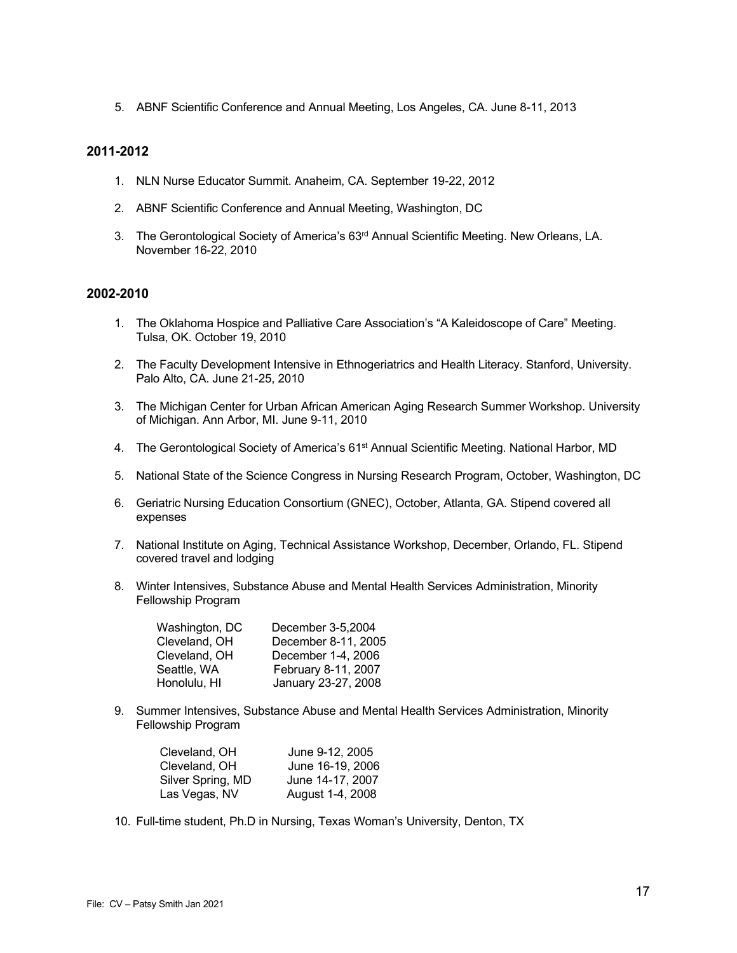5. ABNF Scientific Conference and Annual Meeting, Los Angeles, CA. June 8-11, 2013

#### **2011-2012**

- 1. NLN Nurse Educator Summit. Anaheim, CA. September 19-22, 2012
- 2. ABNF Scientific Conference and Annual Meeting, Washington, DC
- 3. The Gerontological Society of America's 63<sup>rd</sup> Annual Scientific Meeting. New Orleans, LA. November 16-22, 2010

### **2002-2010**

- 1. The Oklahoma Hospice and Palliative Care Association's "A Kaleidoscope of Care" Meeting. Tulsa, OK. October 19, 2010
- 2. The Faculty Development Intensive in Ethnogeriatrics and Health Literacy. Stanford, University. Palo Alto, CA. June 21-25, 2010
- 3. The Michigan Center for Urban African American Aging Research Summer Workshop. University of Michigan. Ann Arbor, MI. June 9-11, 2010
- 4. The Gerontological Society of America's 61<sup>st</sup> Annual Scientific Meeting. National Harbor, MD
- 5. National State of the Science Congress in Nursing Research Program, October, Washington, DC
- 6. Geriatric Nursing Education Consortium (GNEC), October, Atlanta, GA. Stipend covered all expenses
- 7. National Institute on Aging, Technical Assistance Workshop, December, Orlando, FL. Stipend covered travel and lodging
- 8. Winter Intensives, Substance Abuse and Mental Health Services Administration, Minority Fellowship Program

| Washington, DC | December 3-5,2004   |
|----------------|---------------------|
| Cleveland, OH  | December 8-11, 2005 |
| Cleveland, OH  | December 1-4, 2006  |
| Seattle, WA    | February 8-11, 2007 |
| Honolulu, HI   | January 23-27, 2008 |
|                |                     |

9. Summer Intensives, Substance Abuse and Mental Health Services Administration, Minority Fellowship Program

| Cleveland, OH     | June 9-12, 2005  |
|-------------------|------------------|
| Cleveland, OH     | June 16-19, 2006 |
| Silver Spring, MD | June 14-17, 2007 |
| Las Vegas, NV     | August 1-4, 2008 |

10. Full-time student, Ph.D in Nursing, Texas Woman's University, Denton, TX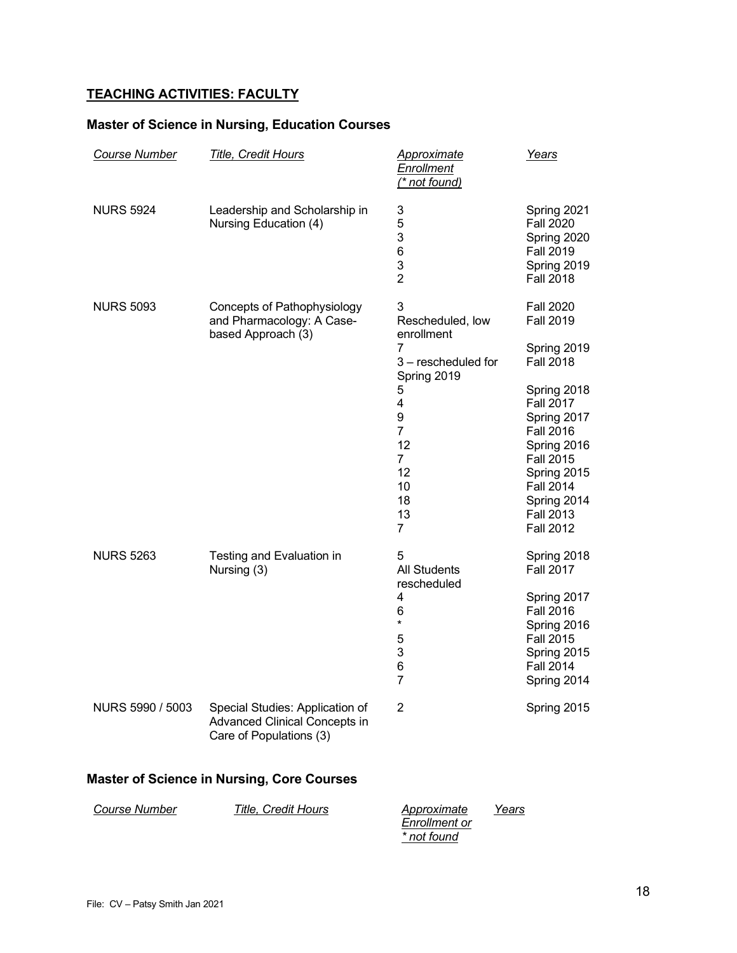# **TEACHING ACTIVITIES: FACULTY**

## **Master of Science in Nursing, Education Courses**

| Course Number                                     | <b>Title, Credit Hours</b>                                                                         | <b>Approximate</b><br><b>Enrollment</b><br>(* not found)                                                                                                                          | Years                                                                                                                                                                                                                                                                      |
|---------------------------------------------------|----------------------------------------------------------------------------------------------------|-----------------------------------------------------------------------------------------------------------------------------------------------------------------------------------|----------------------------------------------------------------------------------------------------------------------------------------------------------------------------------------------------------------------------------------------------------------------------|
| <b>NURS 5924</b>                                  | Leadership and Scholarship in<br>Nursing Education (4)                                             | 3<br>5<br>3<br>6<br>3<br>$\overline{2}$                                                                                                                                           | Spring 2021<br><b>Fall 2020</b><br>Spring 2020<br><b>Fall 2019</b><br>Spring 2019<br><b>Fall 2018</b>                                                                                                                                                                      |
| <b>NURS 5093</b>                                  | Concepts of Pathophysiology<br>and Pharmacology: A Case-<br>based Approach (3)                     | 3<br>Rescheduled, low<br>enrollment<br>7<br>3 - rescheduled for<br>Spring 2019<br>5<br>4<br>9<br>$\overline{7}$<br>12<br>$\overline{7}$<br>12<br>10<br>18<br>13<br>$\overline{7}$ | <b>Fall 2020</b><br><b>Fall 2019</b><br>Spring 2019<br><b>Fall 2018</b><br>Spring 2018<br><b>Fall 2017</b><br>Spring 2017<br><b>Fall 2016</b><br>Spring 2016<br><b>Fall 2015</b><br>Spring 2015<br><b>Fall 2014</b><br>Spring 2014<br><b>Fall 2013</b><br><b>Fall 2012</b> |
| <b>NURS 5263</b>                                  | Testing and Evaluation in<br>Nursing (3)                                                           | 5<br><b>All Students</b><br>rescheduled<br>4<br>6<br>¥<br>5<br>3<br>6<br>7                                                                                                        | Spring 2018<br><b>Fall 2017</b><br>Spring 2017<br><b>Fall 2016</b><br>Spring 2016<br><b>Fall 2015</b><br>Spring 2015<br><b>Fall 2014</b><br>Spring 2014                                                                                                                    |
| NURS 5990 / 5003                                  | Special Studies: Application of<br><b>Advanced Clinical Concepts in</b><br>Care of Populations (3) | 2                                                                                                                                                                                 | Spring 2015                                                                                                                                                                                                                                                                |
| <b>Master of Science in Nursing, Core Courses</b> |                                                                                                    |                                                                                                                                                                                   |                                                                                                                                                                                                                                                                            |

*Course Number Title, Credit Hours Enrollment or \* not found Years*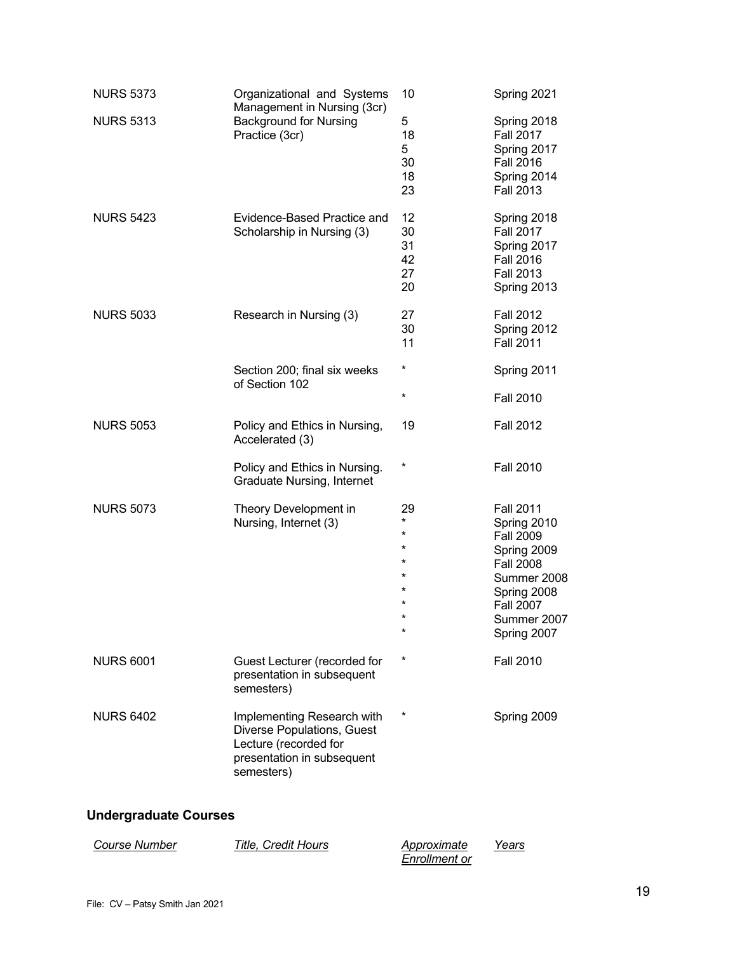| <b>NURS 5373</b> | Organizational and Systems<br>Management in Nursing (3cr)<br><b>Background for Nursing</b><br>Practice (3cr)                  | 10                                                             | Spring 2021                                                                                                                                                            |
|------------------|-------------------------------------------------------------------------------------------------------------------------------|----------------------------------------------------------------|------------------------------------------------------------------------------------------------------------------------------------------------------------------------|
| <b>NURS 5313</b> |                                                                                                                               | 5<br>18<br>5<br>30<br>18<br>23                                 | Spring 2018<br><b>Fall 2017</b><br>Spring 2017<br><b>Fall 2016</b><br>Spring 2014<br><b>Fall 2013</b>                                                                  |
| <b>NURS 5423</b> | Evidence-Based Practice and<br>Scholarship in Nursing (3)                                                                     | 12<br>30<br>31<br>42<br>27<br>20                               | Spring 2018<br><b>Fall 2017</b><br>Spring 2017<br><b>Fall 2016</b><br><b>Fall 2013</b><br>Spring 2013                                                                  |
| <b>NURS 5033</b> | Research in Nursing (3)                                                                                                       | 27<br>30<br>11                                                 | <b>Fall 2012</b><br>Spring 2012<br><b>Fall 2011</b>                                                                                                                    |
|                  | Section 200; final six weeks<br>of Section 102                                                                                | $^\star$                                                       | Spring 2011                                                                                                                                                            |
|                  |                                                                                                                               | $^\star$                                                       | <b>Fall 2010</b>                                                                                                                                                       |
| <b>NURS 5053</b> | Policy and Ethics in Nursing,<br>Accelerated (3)                                                                              | 19                                                             | <b>Fall 2012</b>                                                                                                                                                       |
|                  | Policy and Ethics in Nursing.<br><b>Graduate Nursing, Internet</b>                                                            | *                                                              | <b>Fall 2010</b>                                                                                                                                                       |
| <b>NURS 5073</b> | Theory Development in<br>Nursing, Internet (3)                                                                                | 29<br>$\star$<br>$\star$<br>*<br>$^\star$<br>¥<br>$\star$<br>* | <b>Fall 2011</b><br>Spring 2010<br><b>Fall 2009</b><br>Spring 2009<br><b>Fall 2008</b><br>Summer 2008<br>Spring 2008<br><b>Fall 2007</b><br>Summer 2007<br>Spring 2007 |
| <b>NURS 6001</b> | Guest Lecturer (recorded for<br>presentation in subsequent<br>semesters)                                                      | *                                                              | <b>Fall 2010</b>                                                                                                                                                       |
| <b>NURS 6402</b> | Implementing Research with<br>Diverse Populations, Guest<br>Lecture (recorded for<br>presentation in subsequent<br>semesters) | *                                                              | Spring 2009                                                                                                                                                            |

# **Undergraduate Courses**

| <i>Course Number</i> | Title. Credit Hours | Approximate   | Years |
|----------------------|---------------------|---------------|-------|
|                      |                     | Enrollment or |       |